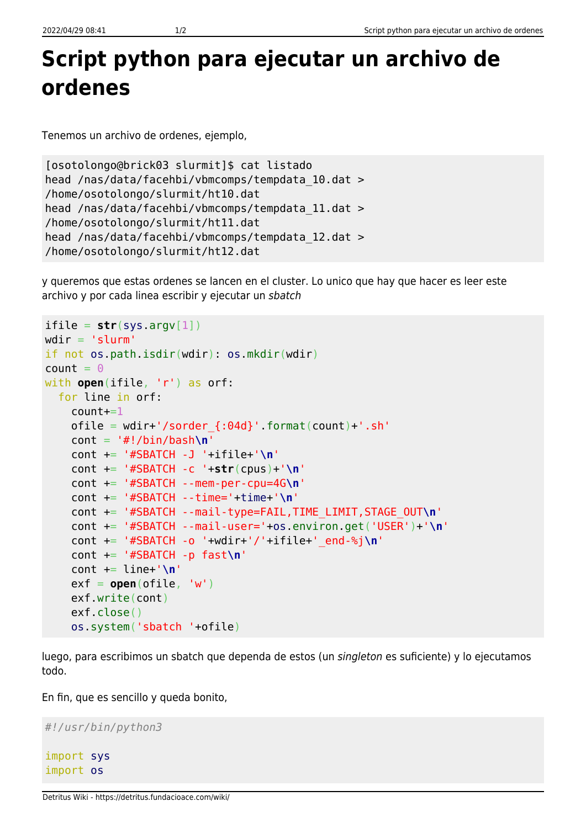## **Script python para ejecutar un archivo de ordenes**

Tenemos un archivo de ordenes, ejemplo,

```
[osotolongo@brick03 slurmit]$ cat listado
head /nas/data/facehbi/vbmcomps/tempdata_10.dat >
/home/osotolongo/slurmit/ht10.dat
head /nas/data/facehbi/vbmcomps/tempdata_11.dat >
/home/osotolongo/slurmit/ht11.dat
head /nas/data/facehbi/vbmcomps/tempdata_12.dat >
/home/osotolongo/slurmit/ht12.dat
```
y queremos que estas ordenes se lancen en el cluster. Lo unico que hay que hacer es leer este archivo y por cada linea escribir y ejecutar un sbatch

```
\text{ifile} = \text{str}(\text{sys.} \text{argv}[1])wdir = 'slurm'if not os.path.isdir(wdir): os.mkdir(wdir)
count = 0with open(ifile, 'r') as orf:
   for line in orf:
    count+=1ofile = width'/sorder {:04d}.format(count)+'.sh'
     cont = '#!/bin/bash\n'
     cont += '#SBATCH -J '+ifile+'\n'
     cont += '#SBATCH -c '+str(cpus)+'\n'
     cont += '#SBATCH --mem-per-cpu=4G\n'
     cont += '#SBATCH --time='+time+'\n'
     cont += '#SBATCH --mail-type=FAIL,TIME_LIMIT,STAGE_OUT\n'
     cont += '#SBATCH --mail-user='+os.environ.get('USER')+'\n'
     cont += '#SBATCH -o '+wdir+'/'+ifile+'_end-%j\n'
     cont += '#SBATCH -p fast\n'
     cont += line+'\n'
    ext{ = open(ofile, 'w') } exf.write(cont)
     exf.close()
     os.system('sbatch '+ofile)
```
luego, para escribimos un sbatch que dependa de estos (un singleton es suficiente) y lo ejecutamos todo.

En fin, que es sencillo y queda bonito,

```
#!/usr/bin/python3
import sys
import os
```